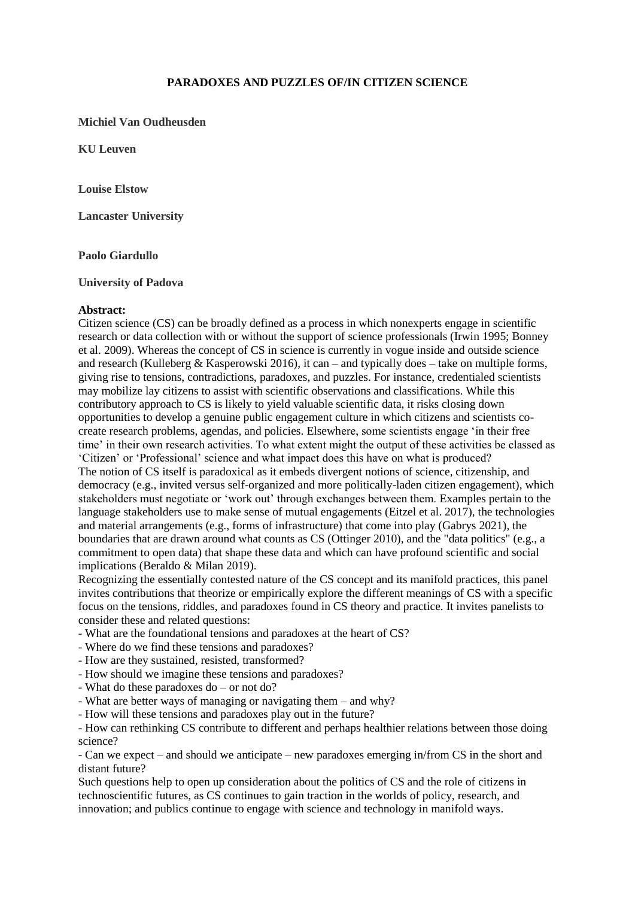# **PARADOXES AND PUZZLES OF/IN CITIZEN SCIENCE**

## **Michiel Van Oudheusden**

**KU Leuven**

**Louise Elstow**

**Lancaster University**

#### **Paolo Giardullo**

#### **University of Padova**

#### **Abstract:**

Citizen science (CS) can be broadly defined as a process in which nonexperts engage in scientific research or data collection with or without the support of science professionals (Irwin 1995; Bonney et al. 2009). Whereas the concept of CS in science is currently in vogue inside and outside science and research (Kulleberg & Kasperowski 2016), it can – and typically does – take on multiple forms, giving rise to tensions, contradictions, paradoxes, and puzzles. For instance, credentialed scientists may mobilize lay citizens to assist with scientific observations and classifications. While this contributory approach to CS is likely to yield valuable scientific data, it risks closing down opportunities to develop a genuine public engagement culture in which citizens and scientists cocreate research problems, agendas, and policies. Elsewhere, some scientists engage 'in their free time' in their own research activities. To what extent might the output of these activities be classed as 'Citizen' or 'Professional' science and what impact does this have on what is produced? The notion of CS itself is paradoxical as it embeds divergent notions of science, citizenship, and democracy (e.g., invited versus self-organized and more politically-laden citizen engagement), which stakeholders must negotiate or 'work out' through exchanges between them. Examples pertain to the language stakeholders use to make sense of mutual engagements (Eitzel et al. 2017), the technologies and material arrangements (e.g., forms of infrastructure) that come into play (Gabrys 2021), the boundaries that are drawn around what counts as CS (Ottinger 2010), and the "data politics" (e.g., a commitment to open data) that shape these data and which can have profound scientific and social implications (Beraldo & Milan 2019).

Recognizing the essentially contested nature of the CS concept and its manifold practices, this panel invites contributions that theorize or empirically explore the different meanings of CS with a specific focus on the tensions, riddles, and paradoxes found in CS theory and practice. It invites panelists to consider these and related questions:

- What are the foundational tensions and paradoxes at the heart of CS?
- Where do we find these tensions and paradoxes?
- How are they sustained, resisted, transformed?
- How should we imagine these tensions and paradoxes?
- What do these paradoxes do or not do?
- What are better ways of managing or navigating them and why?
- How will these tensions and paradoxes play out in the future?
- How can rethinking CS contribute to different and perhaps healthier relations between those doing science?

- Can we expect – and should we anticipate – new paradoxes emerging in/from CS in the short and distant future?

Such questions help to open up consideration about the politics of CS and the role of citizens in technoscientific futures, as CS continues to gain traction in the worlds of policy, research, and innovation; and publics continue to engage with science and technology in manifold ways.